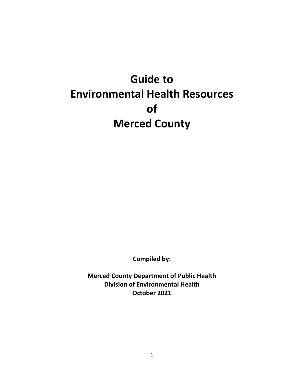# **Guide to Environmental Health Resources of Merced County**

**Compiled by:**

**Merced County Department of Public Health Division of Environmental Health October 2021**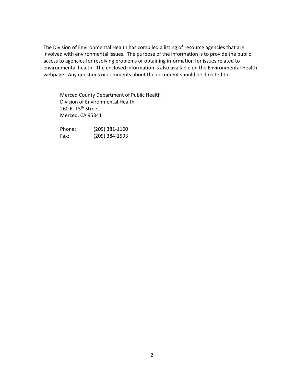The Division of Environmental Health has compiled a listing of resource agencies that are involved with environmental issues. The purpose of the information is to provide the public access to agencies for resolving problems or obtaining information for issues related to environmental health. The enclosed information is also available on the Environmental Health webpage. Any questions or comments about the document should be directed to:

Merced County Department of Public Health Division of Environmental Health 260 E. 15<sup>th</sup> Street Merced, CA 95341

Phone: (209) 381-1100 Fax: (209) 384-1593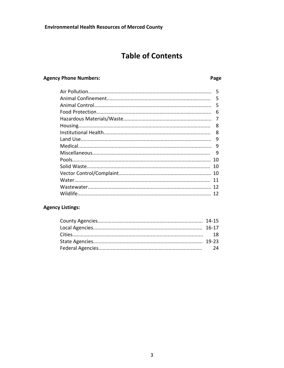## **Table of Contents**

Page

#### **Agency Phone Numbers:**

### 9

#### **Agency Listings:**

3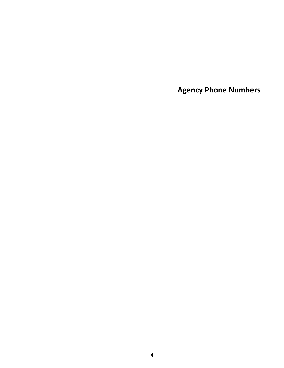**Agency Phone Numbers**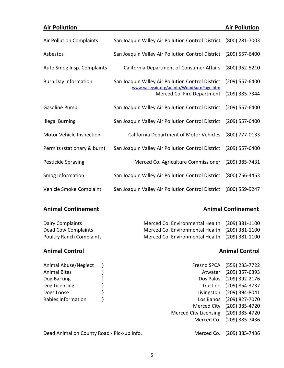| <b>Air Pollution</b>            |                                                                                                | <b>Air Pollution</b> |
|---------------------------------|------------------------------------------------------------------------------------------------|----------------------|
| <b>Air Pollution Complaints</b> | San Joaquin Valley Air Pollution Control District                                              | (800) 281-7003       |
| Asbestos                        | San Joaquin Valley Air Pollution Control District                                              | (209) 557-6400       |
| Auto Smog Insp. Complaints      | California Department of Consumer Affairs                                                      | (800) 952-5210       |
| <b>Burn Day Information</b>     | San Joaquin Valley Air Pollution Control District<br>www.valleyair.org/aqinfo/WoodBurnPage.htm | (209) 557-6400       |
|                                 | Merced Co. Fire Department                                                                     | (209) 385-7344       |
| Gasoline Pump                   | San Joaquin Valley Air Pollution Control District                                              | (209) 557-6400       |
| <b>Illegal Burning</b>          | San Joaquin Valley Air Pollution Control District                                              | (209) 557-6400       |
| Motor Vehicle Inspection        | <b>California Department of Motor Vehicles</b>                                                 | (800) 777-0133       |
| Permits (stationary & burn)     | San Joaquin Valley Air Pollution Control District                                              | (209) 557-6400       |
| Pesticide Spraying              | Merced Co. Agriculture Commissioner                                                            | (209) 385-7431       |
| Smog Information                | San Joaquin Valley Air Pollution Control District                                              | (800) 766-4463       |
| Vehicle Smoke Complaint         | San Joaquin Valley Air Pollution Control District                                              | (800) 559-9247       |

### **Animal Confinement Animal Confinement**

Dead Animal on County Road - Pick-up Info. Merced Co. (209) 385-7436

Dairy Complaints **Merced Co. Environmental Health** (209) 381-1100 Dead Cow Complaints Merced Co. Environmental Health (209) 381-1100 Poultry Ranch Complaints Merced Co. Environmental Health (209) 381-1100

### **Animal Control Animal Control**

Animal Abuse/Neglect } Animal Abuse/Neglect } example 8 and 5 and 5 and 5 and 5 and 5 and 5 and 5 and 5 and 5 and 5 and 5 and 5 and 5 and 5 and 5 and 5 and 5 and 5 and 5 and 5 and 5 and 5 and 5 and 5 and 5 and 5 and 5 and Animal Bites  $\}$  ) and  $\}$  and  $\}$  and  $\}$  and  $\}$  and  $\}$  and  $\}$  and  $\}$  and  $\}$  and  $\}$  and  $\}$  and  $\}$  and  $\}$  and  $\}$  and  $\}$  and  $\}$  and  $\}$  and  $\}$  and  $\}$  and  $\}$  and  $\}$  and  $\}$  and  $\}$  and Dog Barking } Dos Palos (209) 392-2176 Dog Licensing **by the COV and Secure 2001** 854-3737 Dogs Loose } Livingston (209) 394-8041 Rabies Information  $\}$ Merced City (209) 385-4720 Merced City Licensing (209) 385-4720 Merced Co. (209) 385-7436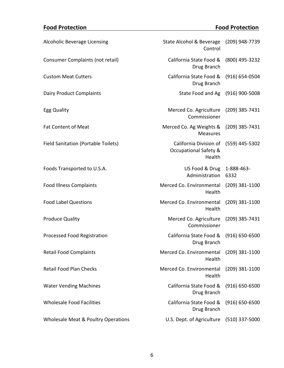## **Food Protection Food Protection**

| Alcoholic Beverage Licensing               | State Alcohol & Beverage (209) 948-7739<br>Control                   |                    |
|--------------------------------------------|----------------------------------------------------------------------|--------------------|
| Consumer Complaints (not retail)           | California State Food &<br>Drug Branch                               | (800) 495-3232     |
| <b>Custom Meat Cutters</b>                 | California State Food &<br>Drug Branch                               | $(916) 654 - 0504$ |
| <b>Dairy Product Complaints</b>            | State Food and Ag (916) 900-5008                                     |                    |
| Egg Quality                                | Merced Co. Agriculture<br>Commissioner                               | (209) 385-7431     |
| <b>Fat Content of Meat</b>                 | Merced Co. Ag Weights &<br><b>Measures</b>                           | (209) 385-7431     |
| <b>Field Sanitation (Portable Toilets)</b> | California Division of<br><b>Occupational Safety &amp;</b><br>Health | (559) 445-5302     |
| Foods Transported to U.S.A.                | US Food & Drug 1-888-463-<br>Administration 6332                     |                    |
| <b>Food Illness Complaints</b>             | Merced Co. Environmental<br>Health                                   | $(209)$ 381-1100   |
| <b>Food Label Questions</b>                | Merced Co. Environmental<br>Health                                   | $(209)$ 381-1100   |
| <b>Produce Quality</b>                     | Merced Co. Agriculture<br>Commissioner                               | (209) 385-7431     |
| Processed Food Registration                | California State Food &<br>Drug Branch                               | $(916) 650 - 6500$ |
| <b>Retail Food Complaints</b>              | Merced Co. Environmental<br>Health                                   | $(209)$ 381-1100   |
| <b>Retail Food Plan Checks</b>             | Merced Co. Environmental<br>Health                                   | $(209)$ 381-1100   |
| <b>Water Vending Machines</b>              | California State Food &<br>Drug Branch                               | $(916) 650 - 6500$ |
| <b>Wholesale Food Facilities</b>           | California State Food &<br>Drug Branch                               | $(916) 650 - 6500$ |
| Wholesale Meat & Poultry Operations        | U.S. Dept. of Agriculture                                            | $(510)$ 337-5000   |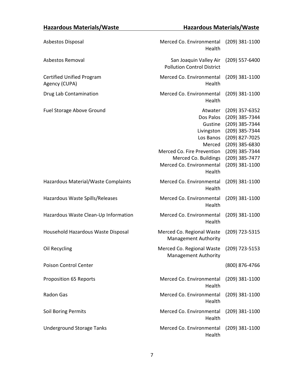## **Hazardous Materials/Waste Hazardous Materials/Waste**

| Asbestos Disposal                                 | Merced Co. Environmental (209) 381-1100<br>Health                                                                                                                |                                                                                                                                                                |
|---------------------------------------------------|------------------------------------------------------------------------------------------------------------------------------------------------------------------|----------------------------------------------------------------------------------------------------------------------------------------------------------------|
| Asbestos Removal                                  | San Joaquin Valley Air<br><b>Pollution Control District</b>                                                                                                      | $(209)$ 557-6400                                                                                                                                               |
| <b>Certified Unified Program</b><br>Agency (CUPA) | Merced Co. Environmental<br>Health                                                                                                                               | $(209)$ 381-1100                                                                                                                                               |
| Drug Lab Contamination                            | Merced Co. Environmental<br>Health                                                                                                                               | $(209)$ 381-1100                                                                                                                                               |
| Fuel Storage Above Ground                         | Atwater<br>Dos Palos<br>Gustine<br>Livingston<br>Los Banos<br>Merced<br>Merced Co. Fire Prevention<br>Merced Co. Buildings<br>Merced Co. Environmental<br>Health | (209) 357-6352<br>(209) 385-7344<br>(209) 385-7344<br>(209) 385-7344<br>(209) 827-7025<br>(209) 385-6830<br>(209) 385-7344<br>(209) 385-7477<br>(209) 381-1100 |
| Hazardous Material/Waste Complaints               | Merced Co. Environmental<br>Health                                                                                                                               | $(209)$ 381-1100                                                                                                                                               |
| Hazardous Waste Spills/Releases                   | Merced Co. Environmental<br>Health                                                                                                                               | $(209)$ 381-1100                                                                                                                                               |
| Hazardous Waste Clean-Up Information              | Merced Co. Environmental<br>Health                                                                                                                               | $(209)$ 381-1100                                                                                                                                               |
| Household Hazardous Waste Disposal                | Merced Co. Regional Waste<br><b>Management Authority</b>                                                                                                         | (209) 723-5315                                                                                                                                                 |
| Oil Recycling                                     | Merced Co. Regional Waste (209) 723-5153<br><b>Management Authority</b>                                                                                          |                                                                                                                                                                |
| Poison Control Center                             |                                                                                                                                                                  | (800) 876-4766                                                                                                                                                 |
| Proposition 65 Reports                            | Merced Co. Environmental<br>Health                                                                                                                               | $(209)$ 381-1100                                                                                                                                               |
| Radon Gas                                         | Merced Co. Environmental<br>Health                                                                                                                               | (209) 381-1100                                                                                                                                                 |
| Soil Boring Permits                               | Merced Co. Environmental<br>Health                                                                                                                               | $(209)$ 381-1100                                                                                                                                               |
| <b>Underground Storage Tanks</b>                  | Merced Co. Environmental<br>Health                                                                                                                               | $(209)$ 381-1100                                                                                                                                               |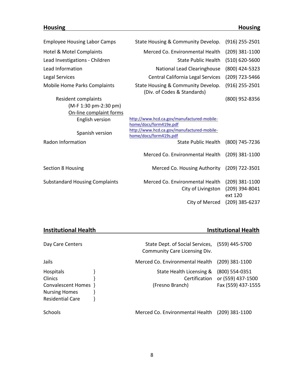## **Housing Housing**

| <b>Employee Housing Labor Camps</b>   | State Housing & Community Develop.                                                             | $(916)$ 255-2501                              |
|---------------------------------------|------------------------------------------------------------------------------------------------|-----------------------------------------------|
| Hotel & Motel Complaints              | Merced Co. Environmental Health                                                                | $(209)$ 381-1100                              |
| Lead Investigations - Children        | <b>State Public Health</b>                                                                     | $(510) 620 - 5600$                            |
| Lead Information                      | <b>National Lead Clearinghouse</b>                                                             | (800) 424-5323                                |
| <b>Legal Services</b>                 | Central California Legal Services                                                              | (209) 723-5466                                |
| <b>Mobile Home Parks Complaints</b>   | State Housing & Community Develop.<br>(Div. of Codes & Standards)                              | $(916)$ 255-2501                              |
| Resident complaints                   |                                                                                                | (800) 952-8356                                |
| (M-F 1:30 pm-2:30 pm)                 |                                                                                                |                                               |
| On-line complaint forms               |                                                                                                |                                               |
| English version                       | http://www.hcd.ca.gov/manufactured-mobile-                                                     |                                               |
| Spanish version                       | home/docs/form419e.pdf<br>http://www.hcd.ca.gov/manufactured-mobile-<br>home/docs/form419s.pdf |                                               |
| Radon Information                     | <b>State Public Health</b>                                                                     | (800) 745-7236                                |
|                                       | Merced Co. Environmental Health                                                                | $(209)$ 381-1100                              |
| <b>Section 8 Housing</b>              | Merced Co. Housing Authority                                                                   | (209) 722-3501                                |
| <b>Substandard Housing Complaints</b> | Merced Co. Environmental Health<br>City of Livingston                                          | $(209)$ 381-1100<br>(209) 394-8041<br>ext 120 |
|                                       | City of Merced                                                                                 | $(209)$ 385-6237                              |

|  | <b>Institutional Health</b> |  |
|--|-----------------------------|--|
|  |                             |  |

## **Institutional Health**

| Day Care Centers                                                                                       | State Dept. of Social Services, (559) 445-5700<br>Community Care Licensing Div. |                                                           |
|--------------------------------------------------------------------------------------------------------|---------------------------------------------------------------------------------|-----------------------------------------------------------|
| Jails                                                                                                  | Merced Co. Environmental Health                                                 | $(209)$ 381-1100                                          |
| Hospitals<br><b>Clinics</b><br>Convalescent Homes }<br><b>Nursing Homes</b><br><b>Residential Care</b> | State Health Licensing &<br>Certification<br>(Fresno Branch)                    | (800) 554-0351<br>or (559) 437-1500<br>Fax (559) 437-1555 |
| Schools                                                                                                | Merced Co. Environmental Health                                                 | $(209)$ 381-1100                                          |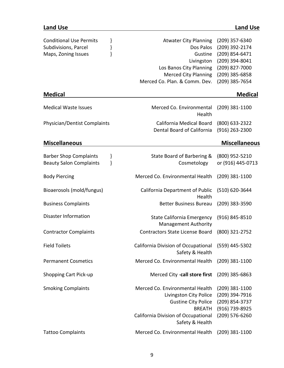## **Land Use Land Use**

| <b>Conditional Use Permits</b><br>}<br>Subdivisions, Parcel<br>}<br>ł<br>Maps, Zoning Issues | <b>Atwater City Planning</b><br>Dos Palos<br>Gustine<br>Livingston<br>Los Banos City Planning<br><b>Merced City Planning</b><br>Merced Co. Plan. & Comm. Dev.      | (209) 357-6340<br>(209) 392-2174<br>(209) 854-6471<br>(209) 394-8041<br>(209) 827-7000<br>(209) 385-6858<br>(209) 385-7654 |
|----------------------------------------------------------------------------------------------|--------------------------------------------------------------------------------------------------------------------------------------------------------------------|----------------------------------------------------------------------------------------------------------------------------|
| <b>Medical</b>                                                                               |                                                                                                                                                                    | <b>Medical</b>                                                                                                             |
| <b>Medical Waste Issues</b>                                                                  | Merced Co. Environmental<br>Health                                                                                                                                 | $(209)$ 381-1100                                                                                                           |
| Physician/Dentist Complaints                                                                 | California Medical Board<br>Dental Board of California                                                                                                             | (800) 633-2322<br>(916) 263-2300                                                                                           |
| <b>Miscellaneous</b>                                                                         |                                                                                                                                                                    | <b>Miscellaneous</b>                                                                                                       |
| }<br><b>Barber Shop Complaints</b><br>}<br><b>Beauty Salon Complaints</b>                    | State Board of Barbering &<br>Cosmetology                                                                                                                          | (800) 952-5210<br>or (916) 445-0713                                                                                        |
| <b>Body Piercing</b>                                                                         | Merced Co. Environmental Health                                                                                                                                    | $(209)$ 381-1100                                                                                                           |
| Bioaerosols (mold/fungus)                                                                    | California Department of Public<br>Health                                                                                                                          | (510) 620-3644                                                                                                             |
| <b>Business Complaints</b>                                                                   | <b>Better Business Bureau</b>                                                                                                                                      | $(209)$ 383-3590                                                                                                           |
| <b>Disaster Information</b>                                                                  | <b>State California Emergency</b><br><b>Management Authority</b>                                                                                                   | $(916) 845 - 8510$                                                                                                         |
| <b>Contractor Complaints</b>                                                                 | <b>Contractors State License Board</b>                                                                                                                             | (800) 321-2752                                                                                                             |
| <b>Field Toilets</b>                                                                         | California Division of Occupational (559) 445-5302<br>Safety & Health                                                                                              |                                                                                                                            |
| <b>Permanent Cosmetics</b>                                                                   | Merced Co. Environmental Health                                                                                                                                    | $(209)$ 381-1100                                                                                                           |
| <b>Shopping Cart Pick-up</b>                                                                 | Merced City -call store first                                                                                                                                      | $(209)$ 385-6863                                                                                                           |
| <b>Smoking Complaints</b>                                                                    | Merced Co. Environmental Health<br>Livingston City Police<br><b>Gustine City Police</b><br><b>BREATH</b><br>California Division of Occupational<br>Safety & Health | $(209)$ 381-1100<br>(209) 394-7916<br>(209) 854-3737<br>(916) 739-8925<br>(209) 576-6260                                   |
| <b>Tattoo Complaints</b>                                                                     | Merced Co. Environmental Health                                                                                                                                    | $(209)$ 381-1100                                                                                                           |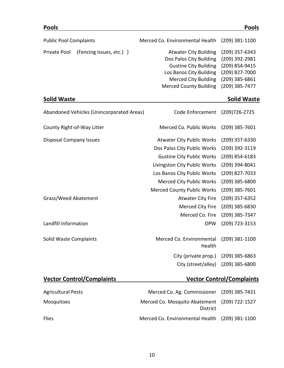| <b>Pools</b>                              |                                    | <b>Pools</b>                     |
|-------------------------------------------|------------------------------------|----------------------------------|
| <b>Public Pool Complaints</b>             | Merced Co. Environmental Health    | $(209)$ 381-1100                 |
| (Fencing Issues, etc.) }<br>Private Pool  | <b>Atwater City Building</b>       | (209) 357-6343                   |
|                                           | Dos Palos City Building            | (209) 392-2981                   |
|                                           | <b>Gustine City Building</b>       | (209) 854-9415                   |
|                                           | Los Banos City Building            | (209) 827-7000                   |
|                                           | <b>Merced City Building</b>        | $(209)$ 385-6861                 |
|                                           | <b>Merced County Building</b>      | (209) 385-7477                   |
| <b>Solid Waste</b>                        |                                    | <b>Solid Waste</b>               |
| Abandoned Vehicles (Unincorporated Areas) | Code Enforcement                   | (209) 726-2725                   |
| County Right-of-Way Litter                | Merced Co. Public Works            | (209) 385-7601                   |
| <b>Disposal Company Issues</b>            | <b>Atwater City Public Works</b>   | $(209)$ 357-6330                 |
|                                           | Dos Palos City Public Works        | (209) 392-3119                   |
|                                           | <b>Gustine City Public Works</b>   | $(209)$ 854-6183                 |
|                                           | Livingston City Public Works       | (209) 394-8041                   |
|                                           | Los Banos City Public Works        | (209) 827-7033                   |
|                                           | <b>Merced City Public Works</b>    | (209) 385-6800                   |
|                                           | <b>Merced County Public Works</b>  | $(209)$ 385-7601                 |
| Grass/Weed Abatement                      | <b>Atwater City Fire</b>           | (209) 357-6352                   |
|                                           | Merced City Fire                   | $(209)$ 385-6830                 |
|                                           | Merced Co. Fire                    | (209) 385-7347                   |
| Landfill Information                      | <b>DPW</b>                         | (209) 723-3153                   |
| <b>Solid Waste Complaints</b>             | Merced Co. Environmental<br>Health | $(209)$ 381-1100                 |
|                                           | City (private prop.)               | $(209)$ 385-6863                 |
|                                           | City (street/alley)                | $(209)$ 385-6800                 |
| <b>Vector Control/Complaints</b>          |                                    | <b>Vector Control/Complaints</b> |

| <b>Agricultural Pests</b> | Merced Co. Ag. Commissioner (209) 385-7431                      |  |
|---------------------------|-----------------------------------------------------------------|--|
| <b>Mosquitoes</b>         | Merced Co. Mosquito Abatement (209) 722-1527<br><b>District</b> |  |
| <b>Flies</b>              | Merced Co. Environmental Health (209) 381-1100                  |  |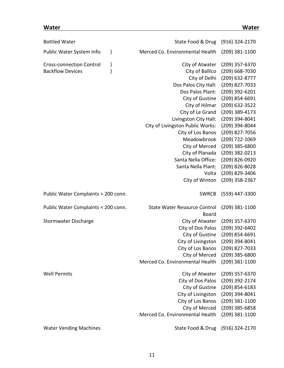### **Water Water**

| <b>Bottled Water</b>                                       |        | State Food & Drug                                   | (916) 324-2170                                       |
|------------------------------------------------------------|--------|-----------------------------------------------------|------------------------------------------------------|
| Public Water System Info.                                  | }      | Merced Co. Environmental Health                     | $(209)$ 381-1100                                     |
| <b>Cross-connection Control</b><br><b>Backflow Devices</b> | }<br>ł | City of Atwater<br>City of Ballico<br>City of Delhi | (209) 357-6370<br>(209) 668-7030<br>$(209)$ 632-8777 |
|                                                            |        | Dos Palos City Hall:                                | (209) 827-7033                                       |
|                                                            |        | Dos Palos Plant:                                    | (209) 392-6201                                       |
|                                                            |        | City of Gustine                                     | (209) 854-6691                                       |
|                                                            |        | City of Hilmar                                      | (209) 632-3522                                       |
|                                                            |        | City of Le Grand                                    | (209) 389-4173                                       |
|                                                            |        | Livingston City Hall:                               | (209) 394-8041                                       |
|                                                            |        | City of Livingston Public Works:                    | (209) 394-8044                                       |
|                                                            |        | City of Los Banos                                   | (209) 827-7056                                       |
|                                                            |        | Meadowbrook                                         | (209) 722-1069                                       |
|                                                            |        | City of Merced                                      | (209) 385-6800                                       |
|                                                            |        | City of Planada                                     | (209) 382-0213                                       |
|                                                            |        | Santa Nella Office:                                 | (209) 826-0920                                       |
|                                                            |        | Santa Nella Plant:                                  | (209) 826-8028                                       |
|                                                            |        | Volta                                               | (209) 829-3406                                       |
|                                                            |        | City of Winton                                      | (209) 358-2367                                       |
| Public Water Complaints > 200 conn.                        |        | <b>SWRCB</b>                                        | (559) 447-3300                                       |
| Public Water Complaints < 200 conn.                        |        | <b>State Water Resource Control</b><br><b>Board</b> | $(209)$ 381-1100                                     |
| <b>Stormwater Discharge</b>                                |        | City of Atwater                                     | (209) 357-6370                                       |
|                                                            |        | City of Dos Palos                                   | (209) 392-6402                                       |
|                                                            |        | City of Gustine                                     | (209) 854-6691                                       |
|                                                            |        | City of Livingston                                  | (209) 394-8041                                       |
|                                                            |        | City of Los Banos                                   | (209) 827-7033                                       |
|                                                            |        | City of Merced                                      | (209) 385-6800                                       |
|                                                            |        | Merced Co. Environmental Health                     | (209) 381-1100                                       |
| <b>Well Permits</b>                                        |        | City of Atwater                                     | (209) 357-6370                                       |
|                                                            |        |                                                     |                                                      |
|                                                            |        | City of Dos Palos                                   | (209) 392-2174                                       |
|                                                            |        | City of Gustine                                     | (209) 854-6183                                       |
|                                                            |        | City of Livingston                                  | (209) 394-8041                                       |
|                                                            |        | City of Los Banos                                   | $(209)$ 381-1100                                     |
|                                                            |        | City of Merced                                      | (209) 385-6858                                       |
|                                                            |        | Merced Co. Environmental Health                     | (209) 381-1100                                       |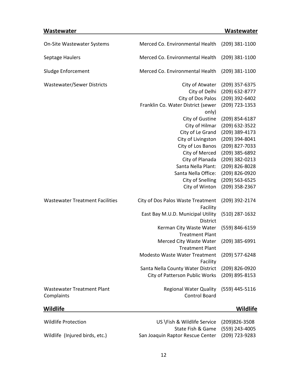## **Wastewater Wastewater**

| On-Site Wastewater Systems                      | Merced Co. Environmental Health                                                                                                                                                                                                               | $(209)$ 381-1100                                                                                                                                                                                             |
|-------------------------------------------------|-----------------------------------------------------------------------------------------------------------------------------------------------------------------------------------------------------------------------------------------------|--------------------------------------------------------------------------------------------------------------------------------------------------------------------------------------------------------------|
| Septage Haulers                                 | Merced Co. Environmental Health                                                                                                                                                                                                               | $(209)$ 381-1100                                                                                                                                                                                             |
| Sludge Enforcement                              | Merced Co. Environmental Health                                                                                                                                                                                                               | (209) 381-1100                                                                                                                                                                                               |
| <b>Wastewater/Sewer Districts</b>               | City of Atwater<br>City of Delhi<br>City of Dos Palos<br>Franklin Co. Water District (sewer<br>only)<br>City of Gustine<br>City of Hilmar<br>City of Le Grand<br>City of Livingston<br>City of Los Banos<br>City of Merced<br>City of Planada | $(209)$ 357-6375<br>(209) 632-8777<br>$(209)$ 392-6402<br>(209) 723-1353<br>$(209)$ 854-6187<br>$(209)$ 632-3522<br>(209) 389-4173<br>(209) 394-8041<br>(209) 827-7033<br>(209) 385-6892<br>$(209)$ 382-0213 |
|                                                 | Santa Nella Plant:<br>Santa Nella Office:<br><b>City of Snelling</b><br>City of Winton                                                                                                                                                        | (209) 826-8028<br>(209) 826-0920<br>(209) 563-6525<br>(209) 358-2367                                                                                                                                         |
| <b>Wastewater Treatment Facilities</b>          | City of Dos Palos Waste Treatment<br>Facility<br>East Bay M.U.D. Municipal Utility<br>District<br>Kerman City Waste Water                                                                                                                     | (209) 392-2174<br>$(510)$ 287-1632<br>(559) 846-6159                                                                                                                                                         |
|                                                 | <b>Treatment Plant</b><br>Merced City Waste Water<br><b>Treatment Plant</b><br><b>Modesto Waste Water Treatment</b><br>Facility<br>Santa Nella County Water District                                                                          | $(209)$ 385-6991<br>$(209)$ 577-6248<br>(209) 826-0920                                                                                                                                                       |
|                                                 | <b>City of Patterson Public Works</b>                                                                                                                                                                                                         | (209) 895-8153                                                                                                                                                                                               |
| <b>Wastewater Treatment Plant</b><br>Complaints | <b>Regional Water Quality</b><br><b>Control Board</b>                                                                                                                                                                                         | $(559)$ 445-5116                                                                                                                                                                                             |
| Wildlife                                        |                                                                                                                                                                                                                                               | Wildlife                                                                                                                                                                                                     |

| Wildlife Protection            | US \Fish & Wildlife Service (209)826-3508       |  |
|--------------------------------|-------------------------------------------------|--|
|                                | State Fish & Game (559) 243-4005                |  |
| Wildlife (Injured birds, etc.) | San Joaquin Raptor Rescue Center (209) 723-9283 |  |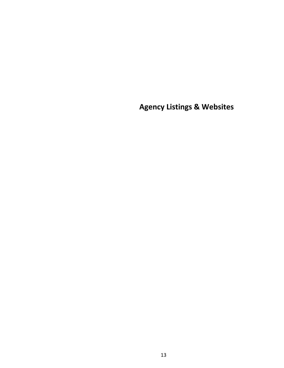**Agency Listings & Websites**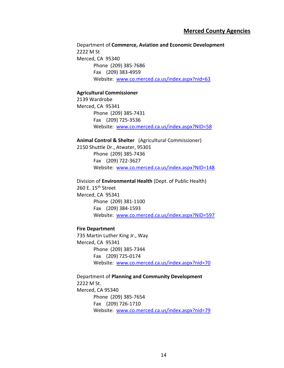#### **Merced County Agencies**

Department of **Commerce, Aviation and Economic Development**  2222 M St Merced, CA 95340 Phone (209) 385-7686 Fax (209) 383-4959 Website: [www.co.merced.ca.us/index.aspx?nid=63](http://www.co.merced.ca.us/index.aspx?nid=63)

#### **Agricultural Commissioner**

2139 Wardrobe Merced, CA 95341 Phone (209) 385-7431 Fax (209) 725-3536 Website: [www.co.merced.ca.us/index.aspx?NID=58](http://www.co.merced.ca.us/index.aspx?NID=58)

**Animal Control & Shelter** (Agricultural Commissioner) 2150 Shuttle Dr., Atwater, 95301 Phone (209) 385-7436 Fax (209) 722-3627 Website: [www.co.merced.ca.us/index.aspx?NID=148](http://www.co.merced.ca.us/index.aspx?NID=148)

Division of **Environmental Health** (Dept. of Public Health) 260 E. 15th Street Merced, CA 95341 Phone (209) 381-1100 Fax (209) 384-1593 Website: [www.co.merced.ca.us/index.aspx?NID=597](http://www.co.merced.ca.us/index.aspx?NID=597)

#### **Fire Department**

735 Martin Luther King Jr., Way Merced, CA 95341 Phone (209) 385-7344 Fax (209) 725-0174 Website: [www.co.merced.ca.us/index.aspx?nid=70](http://www.co.merced.ca.us/index.aspx?nid=70)

Department of **Planning and Community Development** 2222 M St. Merced, CA 95340 Phone (209) 385-7654 Fax (209) 726-1710 Website: [www.co.merced.ca.us/index.aspx?nid=79](http://www.co.merced.ca.us/index.aspx?nid=79)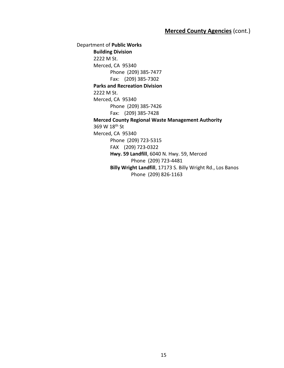Department of **Public Works Building Division** 2222 M St. Merced, CA 95340 Phone (209) 385-7477 Fax: (209) 385-7302 **Parks and Recreation Division** 2222 M St. Merced, CA 95340 Phone (209) 385-7426 Fax: (209) 385-7428 **Merced County Regional Waste Management Authority** 369 W 18th St Merced, CA 95340 Phone (209) 723-5315 FAX (209) 723-0322 **Hwy. 59 Landfill**, 6040 N. Hwy. 59, Merced Phone (209) 723-4481 **Billy Wright Landfill**, 17173 S. Billy Wright Rd., Los Banos Phone (209) 826-1163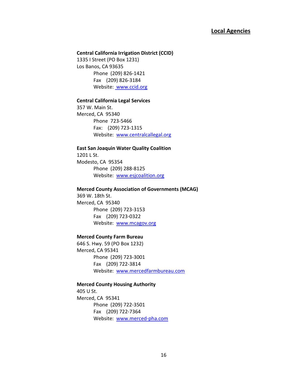### **Local Agencies**

#### **Central California Irrigation District (CCID)**

1335 I Street (PO Box 1231) Los Banos, CA 93635 Phone (209) 826-1421 Fax (209) 826-3184 Website: [www.ccid.org](http://www.ccid.org/)

#### **Central California Legal Services**

357 W. Main St. Merced, CA 95340 Phone 723-5466 Fax: (209) 723-1315 Website: <www.centralcallegal.org>

#### **East San Joaquin Water Quality Coalition** 1201 L St.

Modesto, CA 95354 Phone (209) 288-8125 Website: [www.esjcoalition.org](http://www.esjcoalition.org/)

#### **Merced County Association of Governments (MCAG)**

369 W. 18th St. Merced, CA 95340 Phone (209) 723-3153 Fax (209) 723-0322 Website: [www.mcagov.org](http://www.mcagov.org/)

#### **Merced County Farm Bureau**

646 S. Hwy. 59 (PO Box 1232) Merced, CA 95341 Phone (209) 723-3001 Fax (209) 722-3814 Website: [www.mercedfarmbureau.com](http://www.mercedfarmbureau.com/)

#### **Merced County Housing Authority**

405 U St. Merced, CA 95341 Phone (209) 722-3501 Fax (209) 722-7364 Website: [www.merced-pha.com](http://www.merced-pha.com/)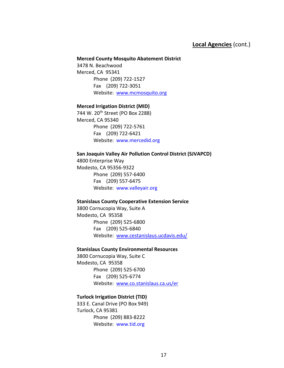### **Local Agencies** (cont.)

#### **Merced County Mosquito Abatement District**

3478 N. Beachwood Merced, CA 95341 Phone (209) 722-1527 Fax (209) 722-3051 Website: <www.mcmosquito.org>

#### **Merced Irrigation District (MID)**

744 W. 20<sup>th</sup> Street (PO Box 2288) Merced, CA 95340 Phone (209) 722-5761 Fax (209) 722-6421 Website: [www.mercedid.org](http://www.mercedid.org/)

#### **San Joaquin Valley Air Pollution Control District (SJVAPCD)**

4800 Enterprise Way Modesto, CA 95356-9322 Phone (209) 557-6400 Fax (209) 557-6475 Website: [www.valleyair.org](http://www.valleyair.org/)

#### **Stanislaus County Cooperative Extension Service**

3800 Cornucopia Way, Suite A Modesto, CA 95358 Phone (209) 525-6800 Fax (209) 525-6840 Website: [www.cestanislaus.ucdavis.edu/](http://www.cestanislaus.ucdavis.edu/)

#### **Stanislaus County Environmental Resources**

3800 Cornucopia Way, Suite C Modesto, CA 95358 Phone (209) 525-6700 Fax (209) 525-6774 Website: [www.co.stanislaus.ca.us/er](http://www.co.stanislaus.ca.us/er/)

#### **Turlock Irrigation District (TID)**

333 E. Canal Drive (PO Box 949) Turlock, CA 95381 Phone (209) 883-8222 Website: [www.tid.org](http://www.tid.org/)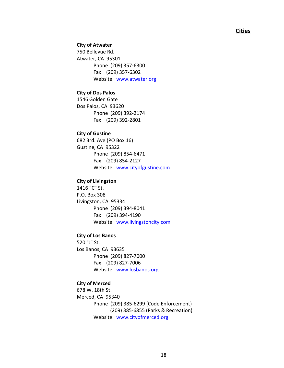#### **Cities**

#### **City of Atwater**

750 Bellevue Rd. Atwater, CA 95301 Phone (209) 357-6300 Fax (209) 357-6302 Website: [www.atwater.org](http://www.atwater.org/)

#### **City of Dos Palos**

1546 Golden Gate Dos Palos, CA 93620 Phone (209) 392-2174 Fax (209) 392-2801

#### **City of Gustine**

682 3rd. Ave (PO Box 16) Gustine, CA 95322 Phone (209) 854-6471 Fax (209) 854-2127 Website: [www.cityofgustine.com](http://www.cityofgustine.com/)

#### **City of Livingston**

1416 "C" St. P.O. Box 308 Livingston, CA 95334 Phone (209) 394-8041 Fax (209) 394-4190 Website: [www.livingstoncity.com](http://www.livingstoncity.com/)

#### **City of Los Banos**

520 "J" St. Los Banos, CA 93635 Phone (209) 827-7000 Fax (209) 827-7006 Website: [www.losbanos.org](http://www.losbanos.org/)

#### **City of Merced**

678 W. 18th St. Merced, CA 95340 Phone (209) 385-6299 (Code Enforcement) (209) 385-6855 (Parks & Recreation) Website: [www.cityofmerced.org](http://www.cityofmerced.org/)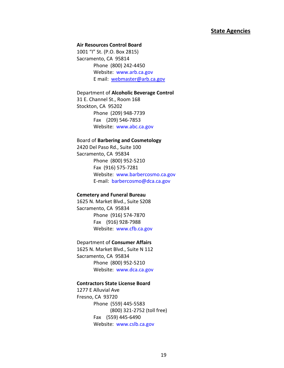#### **State Agencies**

#### **Air Resources Control Board**

1001 "I" St. (P.O. Box 2815) Sacramento, CA 95814 Phone (800) 242-4450 Website: [www.arb.ca.gov](http://www.arb.ca.gov/) E mail: [webmaster@arb.ca.gov](mailto:webmaster@arb.ca.gov)

#### Department of **Alcoholic Beverage Control**

31 E. Channel St., Room 168 Stockton, CA 95202 Phone (209) 948-7739 Fax (209) 546-7853 Website: [www.abc.ca.gov](http://www.abc.ca.gov/)

#### Board of **Barbering and Cosmetology**

2420 Del Paso Rd., Suite 100 Sacramento, CA 95834 Phone (800) 952-5210 Fax (916) 575-7281 Website: [www.barbercosmo.ca.gov](http://www.barbercosmo.ca.gov/) E-mail: [barbercosmo@dca.ca.gov](mailto:barbercosmo@dca.ca.gov)

#### **Cemetery and Funeral Bureau**

1625 N. Market Blvd., Suite S208 Sacramento, CA 95834 Phone (916) 574-7870 Fax (916) 928-7988 Website: [www.cfb.ca.gov](http://www.cfb.ca.gov/)

#### Department of **Consumer Affairs**

1625 N. Market Blvd., Suite N 112 Sacramento, CA 95834 Phone (800) 952-5210 Website: [www.dca.ca.gov](http://www.dca.ca.gov/)

#### **Contractors State License Board**

1277 E Alluvial Ave Fresno, CA 93720 Phone (559) 445-5583 (800) 321-2752 (toll free) Fax (559) 445-6490 Website: [www.cslb.ca.gov](http://www.cslb.ca.gov/)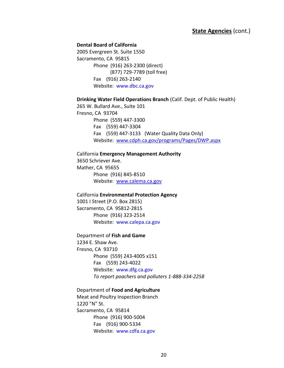### **State Agencies** (cont.)

#### **Dental Board of California**

2005 Evergreen St. Suite 1550 Sacramento, CA 95815 Phone (916) 263-2300 (direct) (877) 729-7789 (toll free) Fax (916) 263-2140 Website: [www.dbc.ca.gov](http://www.dbc.ca.gov/)

**Drinking Water Field Operations Branch** (Calif. Dept. of Public Health)

265 W. Bullard Ave., Suite 101 Fresno, CA 93704 Phone (559) 447-3300 Fax (559) 447-3304 Fax (559) 447-3133 (Water Quality Data Only) Website: [www.cdph.ca.gov/programs/Pages/DWP.aspx](http://www.cdph.ca.gov/programs/Pages/DWP.aspx)

California **Emergency Management Authority** 3650 Schriever Ave. Mather, CA 95655 Phone (916) 845-8510 Website: [www.calema.ca.gov](http://www.calema.ca.gov/)

California **Environmental Protection Agency** 1001 I Street (P.O. Box 2815) Sacramento, CA 95812-2815 Phone (916) 323-2514 Website: [www.calepa.ca.gov](http://www.calepa.ca.gov/)

Department of **Fish and Game**

1234 E. Shaw Ave. Fresno, CA 93710 Phone (559) 243-4005 x151 Fax (559) 243-4022 Website: [www.dfg.ca.gov](http://www.dfg.ca.gov/) *To report poachers and polluters 1-888-334-2258*

Department of **Food and Agriculture**

Meat and Poultry Inspection Branch 1220 "N" St. Sacramento, CA 95814 Phone (916) 900-5004 Fax (916) 900-5334 Website: [www.cdfa.ca.gov](http://www.cdfa.ca.gov/)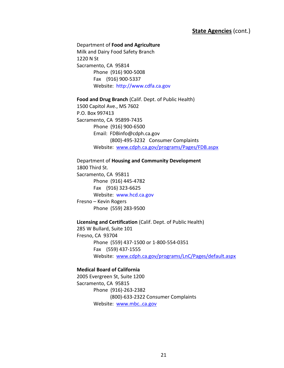### **State Agencies** (cont.)

Department of **Food and Agriculture** Milk and Dairy Food Safety Branch 1220 N St Sacramento, CA 95814 Phone (916) 900-5008 Fax (916) 900-5337 Website: [http://www.cdfa.ca.gov](http://www.cdfa.ca.gov/)

**Food and Drug Branch** (Calif. Dept. of Public Health)

1500 Capitol Ave., MS 7602 P.O. Box 997413 Sacramento, CA 95899-7435 Phone (916) 900-6500 Email: FDBinfo@cdph.ca.gov (800)-495-3232 Consumer Complaints Website: [www.cdph.ca.gov/programs/Pages/FDB.aspx](http://www.cdph.ca.gov/programs/Pages/FDB.aspx)

Department of **Housing and Community Development** 1800 Third St. Sacramento, CA 95811 Phone (916) 445-4782 Fax (916) 323-6625 Website: [www.hcd.ca.gov](http://www.hcd.ca.gov/) Fresno – Kevin Rogers Phone (559) 283-9500

**Licensing and Certification** (Calif. Dept. of Public Health) 285 W Bullard, Suite 101 Fresno, CA 93704

Phone (559) 437-1500 or 1-800-554-0351 Fax (559) 437-1555 Website: [www.cdph.ca.gov/programs/LnC/Pages/default.aspx](http://www.cdph.ca.gov/programs/LnC/Pages/default.aspx)

### **Medical Board of California**

2005 Evergreen St, Suite 1200 Sacramento, CA 95815 Phone (916)-263-2382 (800)-633-2322 Consumer Complaints Website: [www.mbc..ca.gov](http://www.mbc..ca.gov/)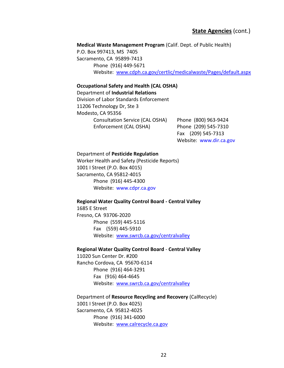**Medical Waste Management Program** (Calif. Dept. of Public Health)

P.O. Box 997413, MS 7405 Sacramento, CA 95899-7413 Phone (916) 449-5671 Website: [www.cdph.ca.gov/certlic/medicalwaste/Pages/default.aspx](http://www.cdph.ca.gov/certlic/medicalwaste/Pages/default.aspx)

#### **Occupational Safety and Health (CAL OSHA)**

Department of **Industrial Relations**

Division of Labor Standards Enforcement 11206 Technology Dr, Ste 3 Modesto, CA 95356 Consultation Service (CAL OSHA) Phone (800) 963-9424 Enforcement (CAL OSHA) Phone (209) 545-7310

Fax (209) 545-7313 Website: [www.dir.ca.gov](http://www.dir.ca.gov/)

#### Department of **Pesticide Regulation**

Worker Health and Safety (Pesticide Reports) 1001 I Street (P.O. Box 4015) Sacramento, CA 95812-4015 Phone (916) 445-4300 Website: [www.cdpr.ca.gov](http://www.cdpr.ca.gov/)

#### **Regional Water Quality Control Board - Central Valley**

1685 E Street Fresno, CA 93706-2020 Phone (559) 445-5116 Fax (559) 445-5910 Website: [www.swrcb.ca.gov/centralvalley](http://www.swrcb.ca.gov/centralvalley)

#### **Regional Water Quality Control Board** - **Central Valley**

11020 Sun Center Dr. #200 Rancho Cordova, CA 95670-6114 Phone (916) 464-3291 Fax (916) 464-4645 Website: [www.swrcb.ca.gov/centralvalley](http://www.swrcb.ca.gov/centralvalley)

Department of **Resource Recycling and Recovery** (CalRecycle) 1001 I Street (P.O. Box 4025) Sacramento, CA 95812-4025 Phone (916) 341-6000 Website: [www.calrecycle.ca.gov](http://www.calrecycle.ca.gov/)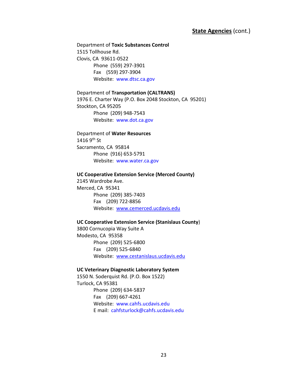### **State Agencies** (cont.)

Department of **Toxic Substances Control** 1515 Tollhouse Rd. Clovis, CA 93611-0522 Phone (559) 297-3901 Fax (559) 297-3904 Website: [www.dtsc.ca.gov](http://www.dtsc.ca.gov/)

Department of **Transportation (CALTRANS)** 1976 E. Charter Way (P.O. Box 2048 Stockton, CA 95201) Stockton, CA 95205 Phone (209) 948-7543 Website: [www.dot.ca.gov](http://www.dot.ca.gov/)

Department of **Water Resources** 1416 9th St Sacramento, CA 95814 Phone (916) 653-5791 Website: [www.water.ca.gov](http://www.water.ca.gov/)

#### **UC Cooperative Extension Service (Merced County)**

2145 Wardrobe Ave. Merced, CA 95341 Phone (209) 385-7403 Fax (209) 722-8856 Website: [www.cemerced.ucdavis.edu](http://www.cemerced.ucdavis.edu/) 

#### **UC Cooperative Extension Service (Stanislaus County**)

3800 Cornucopia Way Suite A Modesto, CA 95358 Phone (209) 525-6800 Fax (209) 525-6840 Website: [www.cestanislaus.ucdavis.edu](http://www.cestanislaus.ucdavis.edu/) 

#### **UC Veterinary Diagnostic Laboratory System**

1550 N. Soderquist Rd. (P.O. Box 1522) Turlock, CA 95381 Phone (209) 634-5837 Fax (209) 667-4261 Website: [www.cahfs.ucdavis.edu](http://www.cahfs.ucdavis.edu/) E mail: [cahfsturlock@cahfs.ucdavis.edu](mailto:cahfsturlock@cahfs.ucdavis.edu)